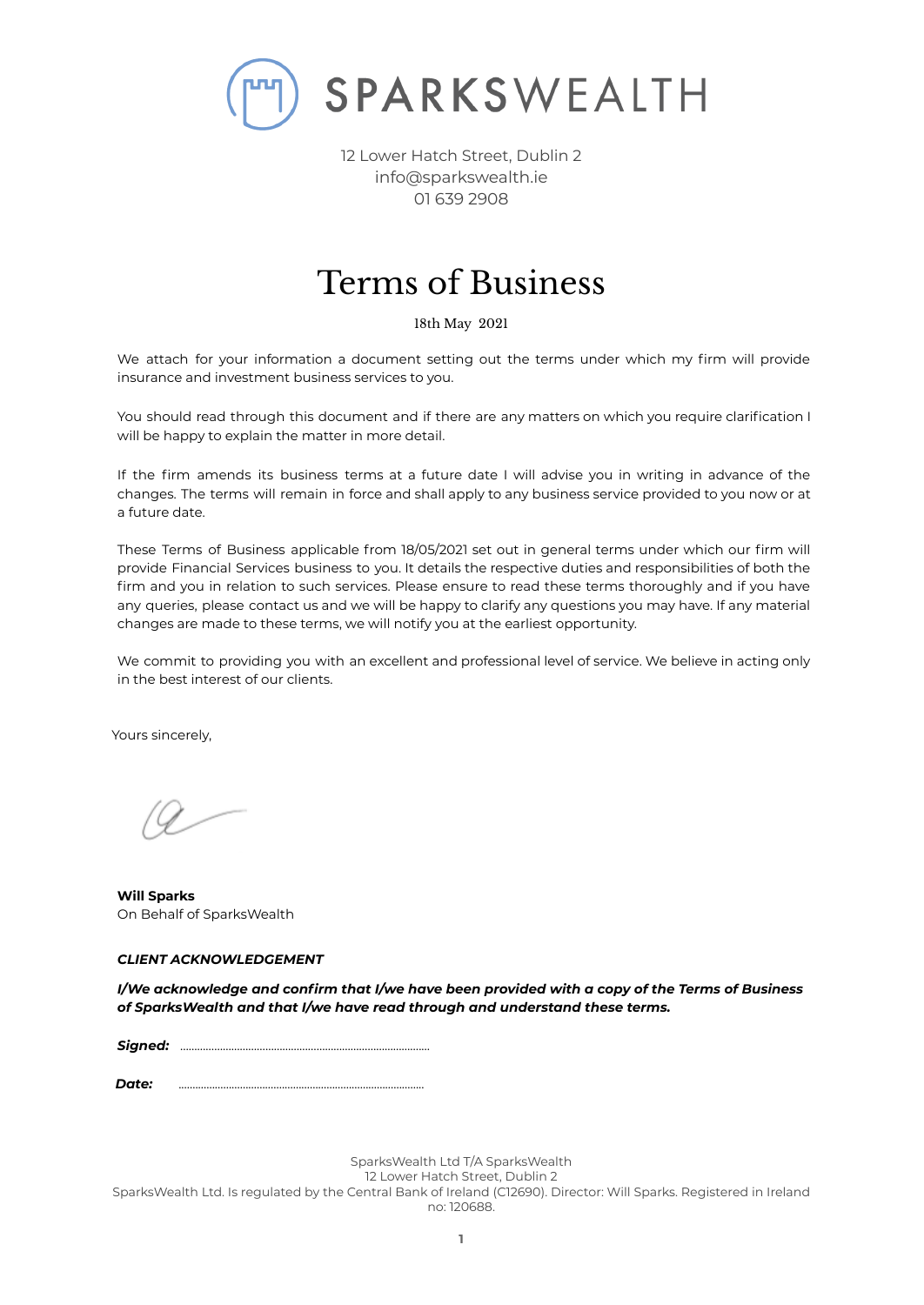

# Terms of Business

18th May 2021

We attach for your information a document setting out the terms under which my firm will provide insurance and investment business services to you.

You should read through this document and if there are any matters on which you require clarification I will be happy to explain the matter in more detail.

If the firm amends its business terms at a future date I will advise you in writing in advance of the changes. The terms will remain in force and shall apply to any business service provided to you now or at a future date.

These Terms of Business applicable from 18/05/2021 set out in general terms under which our firm will provide Financial Services business to you. It details the respective duties and responsibilities of both the firm and you in relation to such services. Please ensure to read these terms thoroughly and if you have any queries, please contact us and we will be happy to clarify any questions you may have. If any material changes are made to these terms, we will notify you at the earliest opportunity.

We commit to providing you with an excellent and professional level of service. We believe in acting only in the best interest of our clients.

Yours sincerely,

**Will Sparks** On Behalf of SparksWealth

# *CLIENT ACKNOWLEDGEMENT*

*I/We acknowledge and confirm that I/we have been provided with a copy of the Terms of Business of SparksWealth and that I/we have read through and understand these terms.*

*Signed:* …………………………………………………………………………....

*Date:* ........................................................................................

SparksWealth Ltd T/A SparksWealth

12 Lower Hatch Street, Dublin 2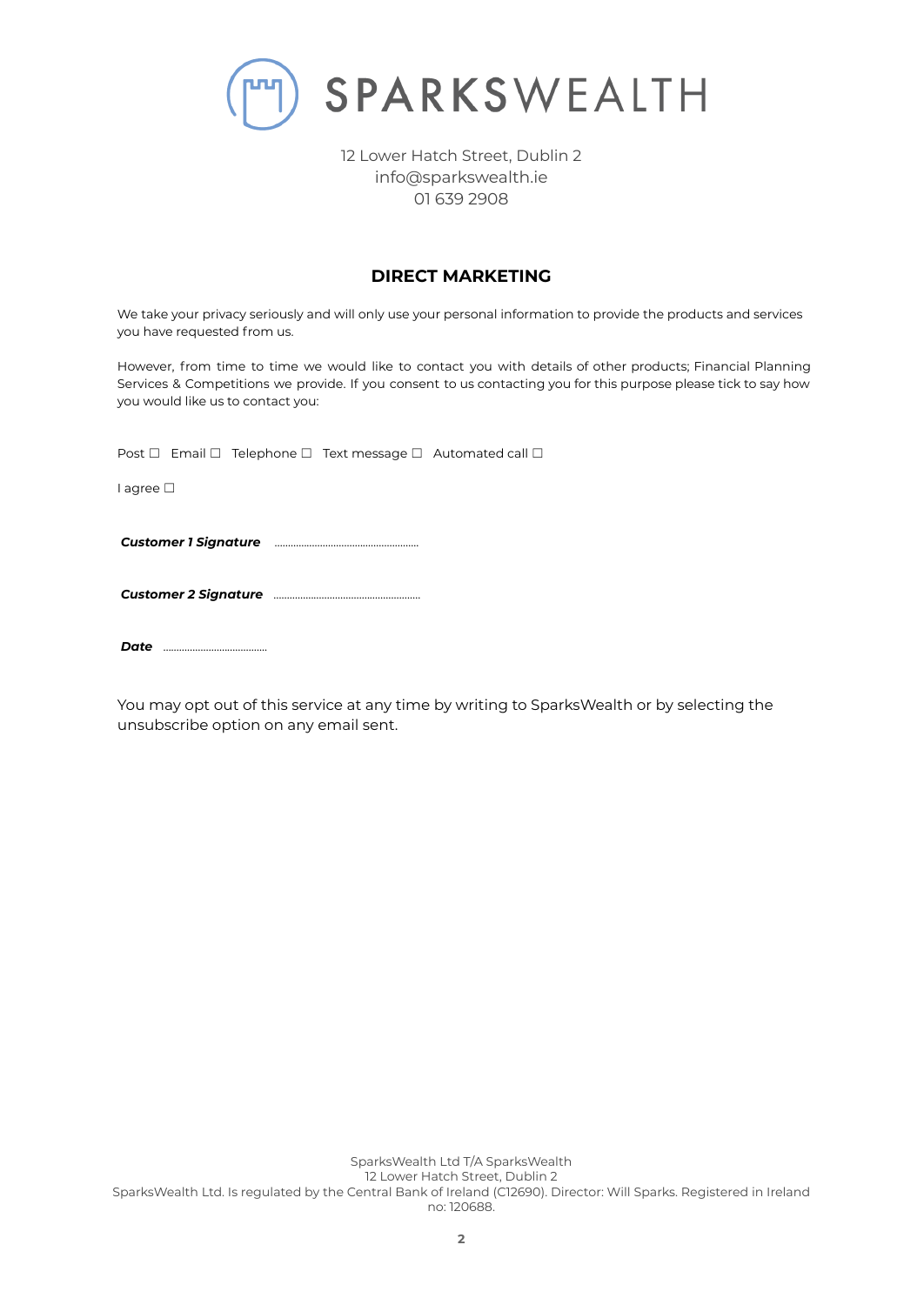

# **DIRECT MARKETING**

We take your privacy seriously and will only use your personal information to provide the products and services you have requested from us.

However, from time to time we would like to contact you with details of other products; Financial Planning Services & Competitions we provide. If you consent to us contacting you for this purpose please tick to say how you would like us to contact you:

Post □ Email □ Telephone □ Text message □ Automated call □

I agree ☐

*Customer 1 Signature* ……………………………………………...

*Customer 2 Signature* ……………………………………………….

*Date* ………………………………...

You may opt out of this service at any time by writing to SparksWealth or by selecting the unsubscribe option on any email sent.

SparksWealth Ltd T/A SparksWealth 12 Lower Hatch Street, Dublin 2 SparksWealth Ltd. Is regulated by the Central Bank of Ireland (C12690). Director: Will Sparks. Registered in Ireland no: 120688.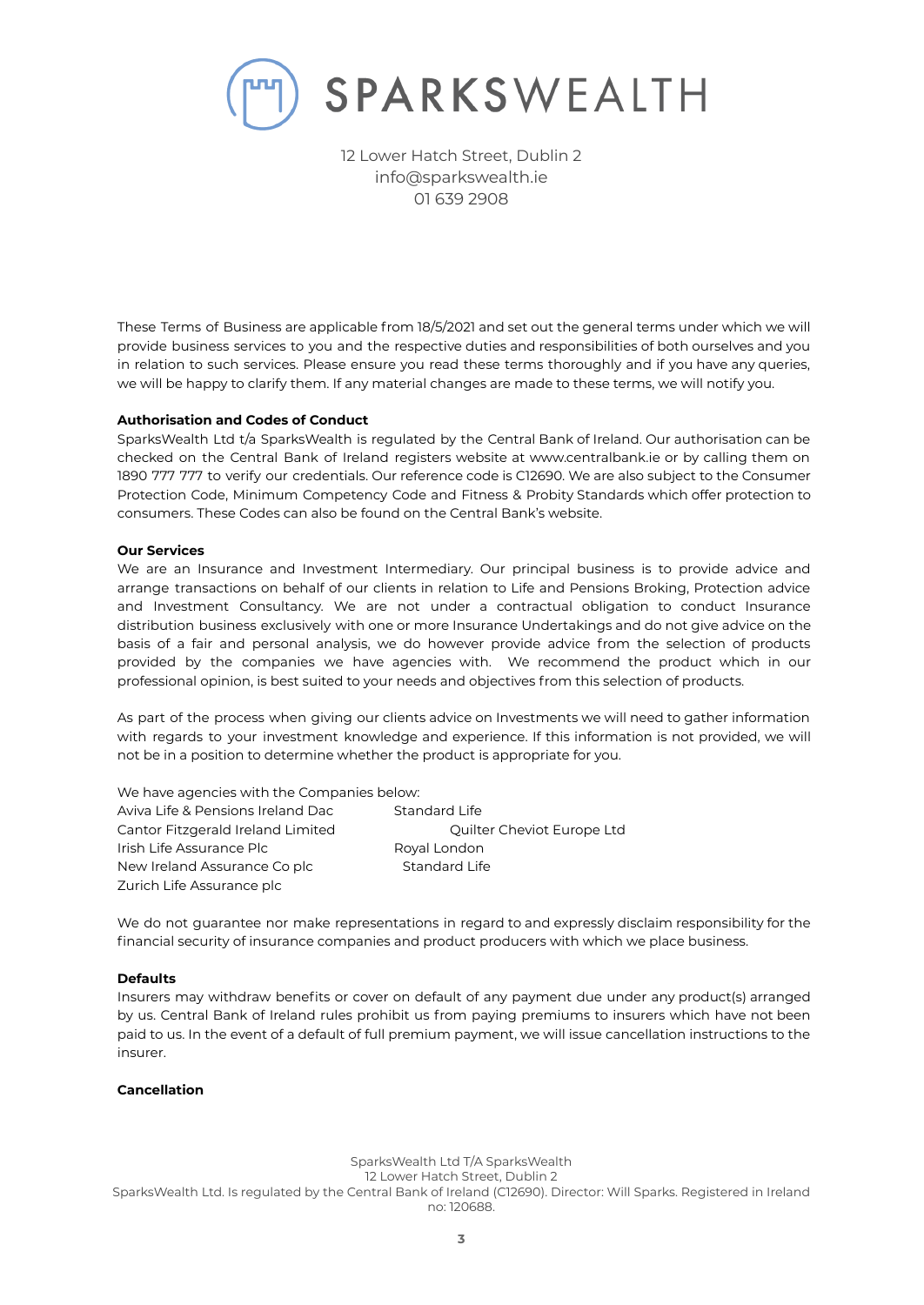

These Terms of Business are applicable from 18/5/2021 and set out the general terms under which we will provide business services to you and the respective duties and responsibilities of both ourselves and you in relation to such services. Please ensure you read these terms thoroughly and if you have any queries, we will be happy to clarify them. If any material changes are made to these terms, we will notify you.

# **Authorisation and Codes of Conduct**

SparksWealth Ltd t/a SparksWealth is regulated by the Central Bank of Ireland. Our authorisation can be checked on the Central Bank of Ireland registers website at www.centralbank.ie or by calling them on 1890 777 777 to verify our credentials. Our reference code is C12690. We are also subject to the Consumer Protection Code, Minimum Competency Code and Fitness & Probity Standards which offer protection to consumers. These Codes can also be found on the Central Bank's website.

#### **Our Services**

We are an Insurance and Investment Intermediary. Our principal business is to provide advice and arrange transactions on behalf of our clients in relation to Life and Pensions Broking, Protection advice and Investment Consultancy. We are not under a contractual obligation to conduct Insurance distribution business exclusively with one or more Insurance Undertakings and do not give advice on the basis of a fair and personal analysis, we do however provide advice from the selection of products provided by the companies we have agencies with. We recommend the product which in our professional opinion, is best suited to your needs and objectives from this selection of products.

As part of the process when giving our clients advice on Investments we will need to gather information with regards to your investment knowledge and experience. If this information is not provided, we will not be in a position to determine whether the product is appropriate for you.

| We have agencies with the Companies below: |                            |
|--------------------------------------------|----------------------------|
| Aviva Life & Pensions Ireland Dac          | Standard Life              |
| Cantor Fitzgerald Ireland Limited          | Quilter Cheviot Europe Ltd |
| Irish Life Assurance Plc                   | Royal London               |
| New Ireland Assurance Co plc               | Standard Life              |
| Zurich Life Assurance plc                  |                            |

We do not guarantee nor make representations in regard to and expressly disclaim responsibility for the financial security of insurance companies and product producers with which we place business.

## **Defaults**

Insurers may withdraw benefits or cover on default of any payment due under any product(s) arranged by us. Central Bank of Ireland rules prohibit us from paying premiums to insurers which have not been paid to us. In the event of a default of full premium payment, we will issue cancellation instructions to the insurer.

# **Cancellation**

SparksWealth Ltd T/A SparksWealth

12 Lower Hatch Street, Dublin 2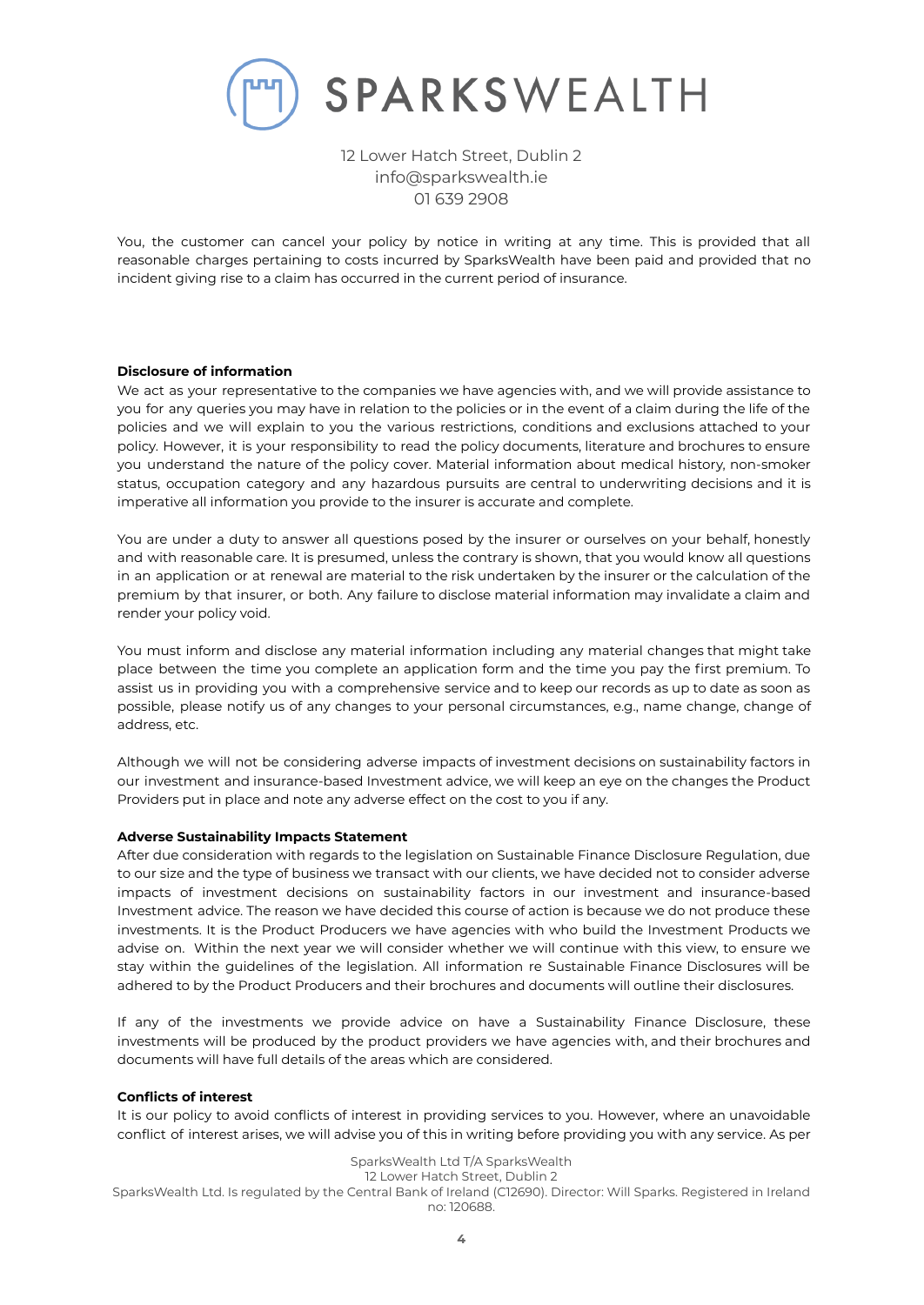

You, the customer can cancel your policy by notice in writing at any time. This is provided that all reasonable charges pertaining to costs incurred by SparksWealth have been paid and provided that no incident giving rise to a claim has occurred in the current period of insurance.

# **Disclosure of information**

We act as your representative to the companies we have agencies with, and we will provide assistance to you for any queries you may have in relation to the policies or in the event of a claim during the life of the policies and we will explain to you the various restrictions, conditions and exclusions attached to your policy. However, it is your responsibility to read the policy documents, literature and brochures to ensure you understand the nature of the policy cover. Material information about medical history, non-smoker status, occupation category and any hazardous pursuits are central to underwriting decisions and it is imperative all information you provide to the insurer is accurate and complete.

You are under a duty to answer all questions posed by the insurer or ourselves on your behalf, honestly and with reasonable care. It is presumed, unless the contrary is shown, that you would know all questions in an application or at renewal are material to the risk undertaken by the insurer or the calculation of the premium by that insurer, or both. Any failure to disclose material information may invalidate a claim and render your policy void.

You must inform and disclose any material information including any material changes that might take place between the time you complete an application form and the time you pay the first premium. To assist us in providing you with a comprehensive service and to keep our records as up to date as soon as possible, please notify us of any changes to your personal circumstances, e.g., name change, change of address, etc.

Although we will not be considering adverse impacts of investment decisions on sustainability factors in our investment and insurance-based Investment advice, we will keep an eye on the changes the Product Providers put in place and note any adverse effect on the cost to you if any.

## **Adverse Sustainability Impacts Statement**

After due consideration with regards to the legislation on Sustainable Finance Disclosure Regulation, due to our size and the type of business we transact with our clients, we have decided not to consider adverse impacts of investment decisions on sustainability factors in our investment and insurance-based Investment advice. The reason we have decided this course of action is because we do not produce these investments. It is the Product Producers we have agencies with who build the Investment Products we advise on. Within the next year we will consider whether we will continue with this view, to ensure we stay within the guidelines of the legislation. All information re Sustainable Finance Disclosures will be adhered to by the Product Producers and their brochures and documents will outline their disclosures.

If any of the investments we provide advice on have a Sustainability Finance Disclosure, these investments will be produced by the product providers we have agencies with, and their brochures and documents will have full details of the areas which are considered.

## **Conflicts of interest**

It is our policy to avoid conflicts of interest in providing services to you. However, where an unavoidable conflict of interest arises, we will advise you of this in writing before providing you with any service. As per

SparksWealth Ltd T/A SparksWealth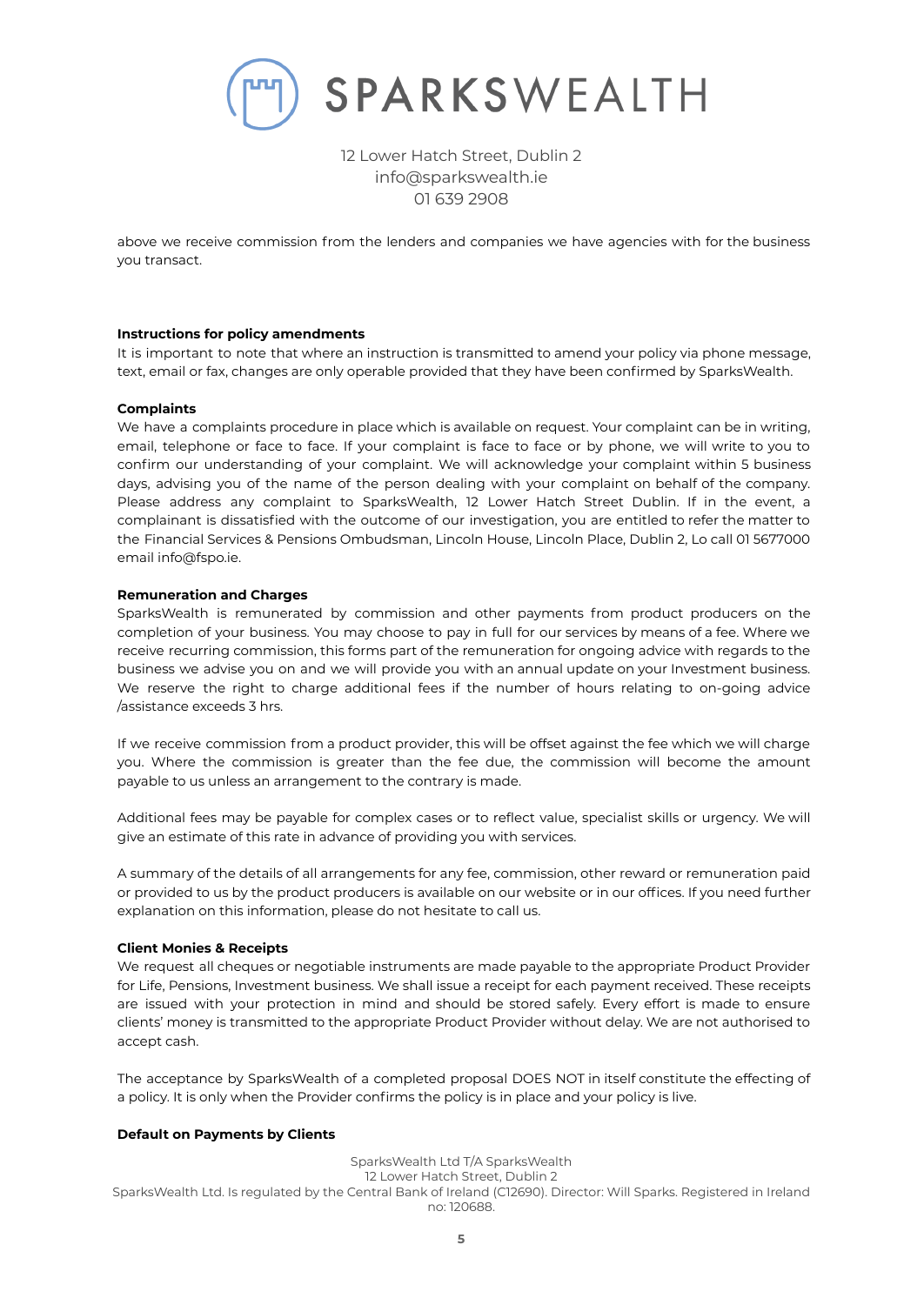

above we receive commission from the lenders and companies we have agencies with for the business you transact.

## **Instructions for policy amendments**

It is important to note that where an instruction is transmitted to amend your policy via phone message, text, email or fax, changes are only operable provided that they have been confirmed by SparksWealth.

## **Complaints**

We have a complaints procedure in place which is available on request. Your complaint can be in writing, email, telephone or face to face. If your complaint is face to face or by phone, we will write to you to confirm our understanding of your complaint. We will acknowledge your complaint within 5 business days, advising you of the name of the person dealing with your complaint on behalf of the company. Please address any complaint to SparksWealth, 12 Lower Hatch Street Dublin. If in the event, a complainant is dissatisfied with the outcome of our investigation, you are entitled to refer the matter to the Financial Services & Pensions Ombudsman, Lincoln House, Lincoln Place, Dublin 2, Lo call 01 5677000 email info@fspo.ie.

## **Remuneration and Charges**

SparksWealth is remunerated by commission and other payments from product producers on the completion of your business. You may choose to pay in full for our services by means of a fee. Where we receive recurring commission, this forms part of the remuneration for ongoing advice with regards to the business we advise you on and we will provide you with an annual update on your Investment business. We reserve the right to charge additional fees if the number of hours relating to on-going advice /assistance exceeds 3 hrs.

If we receive commission from a product provider, this will be offset against the fee which we will charge you. Where the commission is greater than the fee due, the commission will become the amount payable to us unless an arrangement to the contrary is made.

Additional fees may be payable for complex cases or to reflect value, specialist skills or urgency. We will give an estimate of this rate in advance of providing you with services.

A summary of the details of all arrangements for any fee, commission, other reward or remuneration paid or provided to us by the product producers is available on our website or in our offices. If you need further explanation on this information, please do not hesitate to call us.

## **Client Monies & Receipts**

We request all cheques or negotiable instruments are made payable to the appropriate Product Provider for Life, Pensions, Investment business. We shall issue a receipt for each payment received. These receipts are issued with your protection in mind and should be stored safely. Every effort is made to ensure clients' money is transmitted to the appropriate Product Provider without delay. We are not authorised to accept cash.

The acceptance by SparksWealth of a completed proposal DOES NOT in itself constitute the effecting of a policy. It is only when the Provider confirms the policy is in place and your policy is live.

## **Default on Payments by Clients**

SparksWealth Ltd T/A SparksWealth 12 Lower Hatch Street, Dublin 2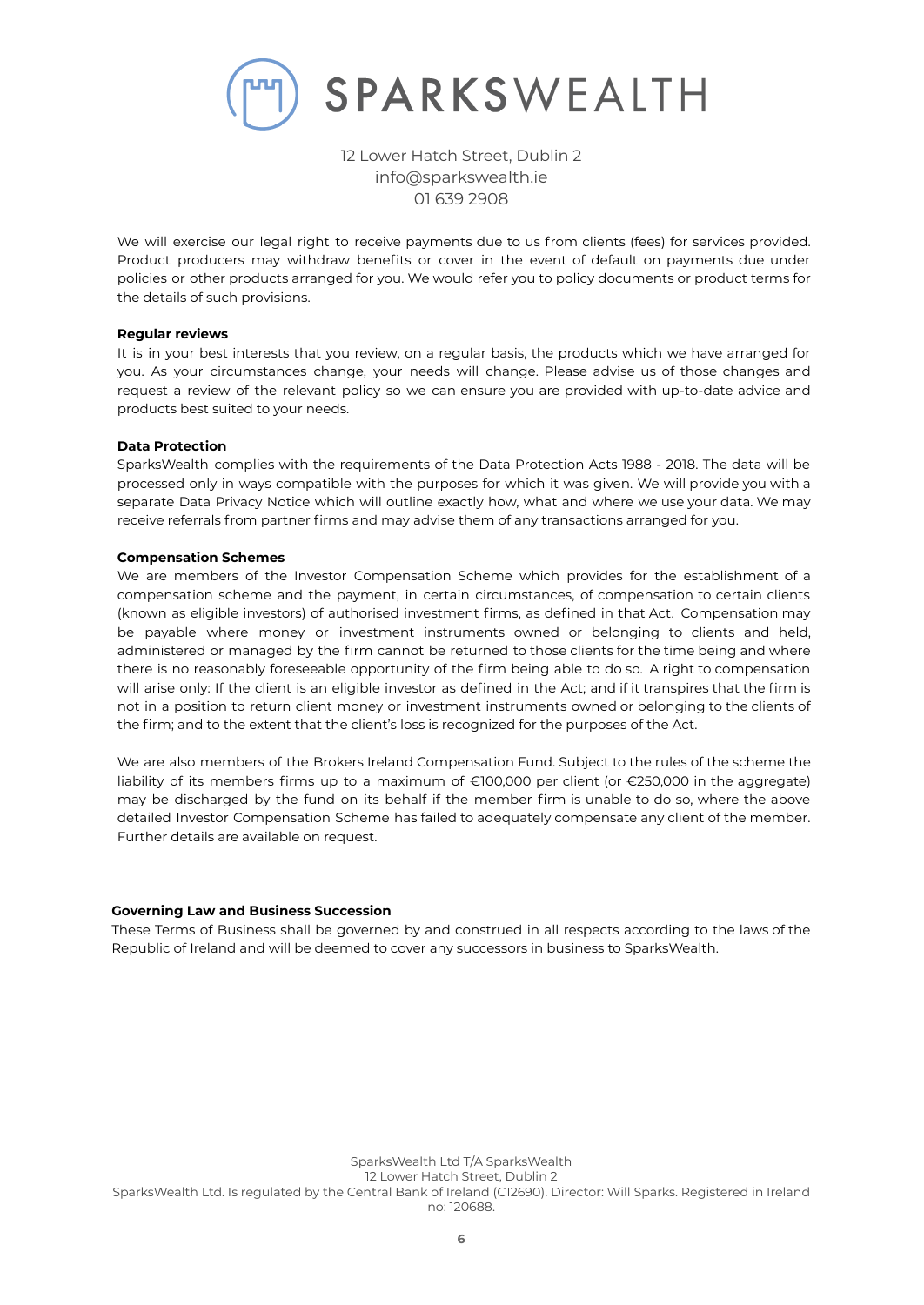

We will exercise our legal right to receive payments due to us from clients (fees) for services provided. Product producers may withdraw benefits or cover in the event of default on payments due under policies or other products arranged for you. We would refer you to policy documents or product terms for the details of such provisions.

## **Regular reviews**

It is in your best interests that you review, on a regular basis, the products which we have arranged for you. As your circumstances change, your needs will change. Please advise us of those changes and request a review of the relevant policy so we can ensure you are provided with up-to-date advice and products best suited to your needs.

#### **Data Protection**

SparksWealth complies with the requirements of the Data Protection Acts 1988 - 2018. The data will be processed only in ways compatible with the purposes for which it was given. We will provide you with a separate Data Privacy Notice which will outline exactly how, what and where we use your data. We may receive referrals from partner firms and may advise them of any transactions arranged for you.

#### **Compensation Schemes**

We are members of the Investor Compensation Scheme which provides for the establishment of a compensation scheme and the payment, in certain circumstances, of compensation to certain clients (known as eligible investors) of authorised investment firms, as defined in that Act. Compensation may be payable where money or investment instruments owned or belonging to clients and held, administered or managed by the firm cannot be returned to those clients for the time being and where there is no reasonably foreseeable opportunity of the firm being able to do so. A right to compensation will arise only: If the client is an eligible investor as defined in the Act; and if it transpires that the firm is not in a position to return client money or investment instruments owned or belonging to the clients of the firm; and to the extent that the client's loss is recognized for the purposes of the Act.

We are also members of the Brokers Ireland Compensation Fund. Subject to the rules of the scheme the liability of its members firms up to a maximum of €100,000 per client (or €250,000 in the aggregate) may be discharged by the fund on its behalf if the member firm is unable to do so, where the above detailed Investor Compensation Scheme has failed to adequately compensate any client of the member. Further details are available on request.

#### **Governing Law and Business Succession**

These Terms of Business shall be governed by and construed in all respects according to the laws of the Republic of Ireland and will be deemed to cover any successors in business to SparksWealth.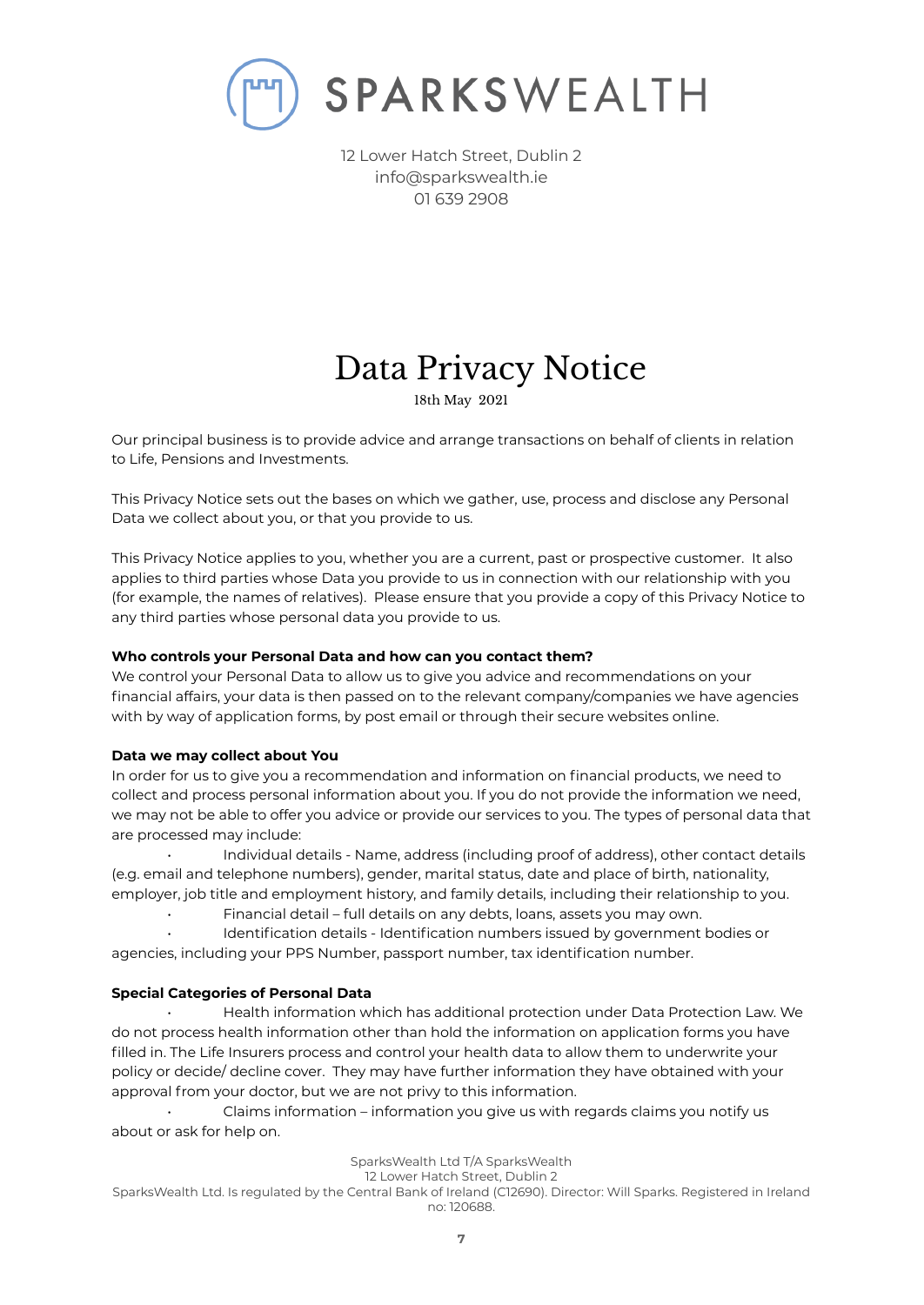

# Data Privacy Notice

18th May 2021

Our principal business is to provide advice and arrange transactions on behalf of clients in relation to Life, Pensions and Investments.

This Privacy Notice sets out the bases on which we gather, use, process and disclose any Personal Data we collect about you, or that you provide to us.

This Privacy Notice applies to you, whether you are a current, past or prospective customer. It also applies to third parties whose Data you provide to us in connection with our relationship with you (for example, the names of relatives). Please ensure that you provide a copy of this Privacy Notice to any third parties whose personal data you provide to us.

# **Who controls your Personal Data and how can you contact them?**

We control your Personal Data to allow us to give you advice and recommendations on your financial affairs, your data is then passed on to the relevant company/companies we have agencies with by way of application forms, by post email or through their secure websites online.

# **Data we may collect about You**

In order for us to give you a recommendation and information on financial products, we need to collect and process personal information about you. If you do not provide the information we need, we may not be able to offer you advice or provide our services to you. The types of personal data that are processed may include:

• Individual details - Name, address (including proof of address), other contact details (e.g. email and telephone numbers), gender, marital status, date and place of birth, nationality, employer, job title and employment history, and family details, including their relationship to you.

• Financial detail – full details on any debts, loans, assets you may own.

• Identification details - Identification numbers issued by government bodies or agencies, including your PPS Number, passport number, tax identification number.

# **Special Categories of Personal Data**

• Health information which has additional protection under Data Protection Law. We do not process health information other than hold the information on application forms you have filled in. The Life Insurers process and control your health data to allow them to underwrite your policy or decide/ decline cover. They may have further information they have obtained with your approval from your doctor, but we are not privy to this information.

• Claims information – information you give us with regards claims you notify us about or ask for help on.

SparksWealth Ltd T/A SparksWealth

12 Lower Hatch Street, Dublin 2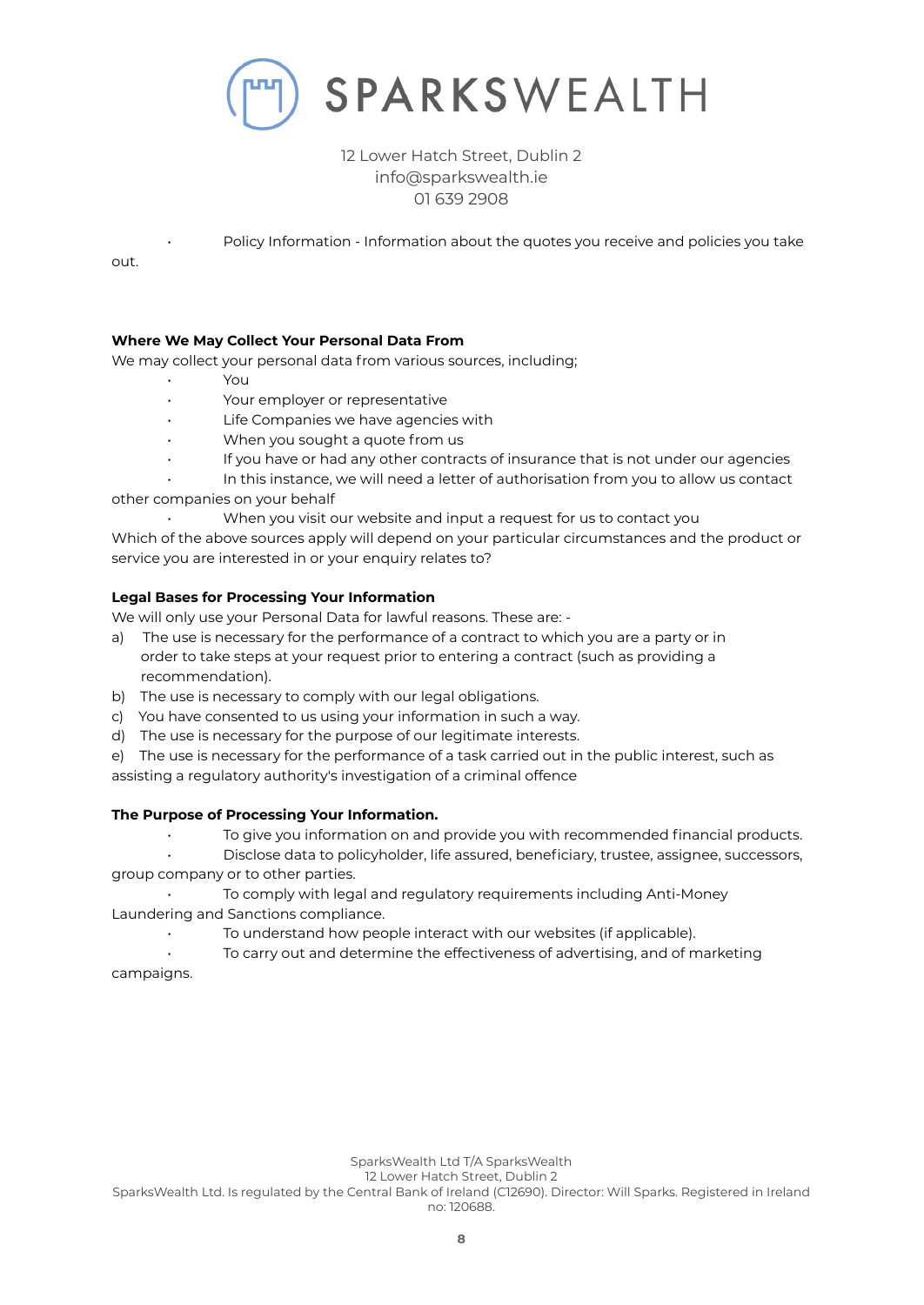

• Policy Information - Information about the quotes you receive and policies you take

out.

# **Where We May Collect Your Personal Data From**

We may collect your personal data from various sources, including;

- You
- Your employer or representative
- Life Companies we have agencies with
- When you sought a quote from us
- If you have or had any other contracts of insurance that is not under our agencies
- In this instance, we will need a letter of authorisation from you to allow us contact

other companies on your behalf

• When you visit our website and input a request for us to contact you

Which of the above sources apply will depend on your particular circumstances and the product or service you are interested in or your enquiry relates to?

# **Legal Bases for Processing Your Information**

We will only use your Personal Data for lawful reasons. These are: -

- a) The use is necessary for the performance of a contract to which you are a party or in order to take steps at your request prior to entering a contract (such as providing a recommendation).
- b) The use is necessary to comply with our legal obligations.
- c) You have consented to us using your information in such a way.
- d) The use is necessary for the purpose of our legitimate interests.
- e) The use is necessary for the performance of a task carried out in the public interest, such as assisting a regulatory authority's investigation of a criminal offence

# **The Purpose of Processing Your Information.**

• To give you information on and provide you with recommended financial products.

• Disclose data to policyholder, life assured, beneficiary, trustee, assignee, successors, group company or to other parties.

• To comply with legal and regulatory requirements including Anti-Money Laundering and Sanctions compliance.

To understand how people interact with our websites (if applicable).

• To carry out and determine the effectiveness of advertising, and of marketing campaigns.

12 Lower Hatch Street, Dublin 2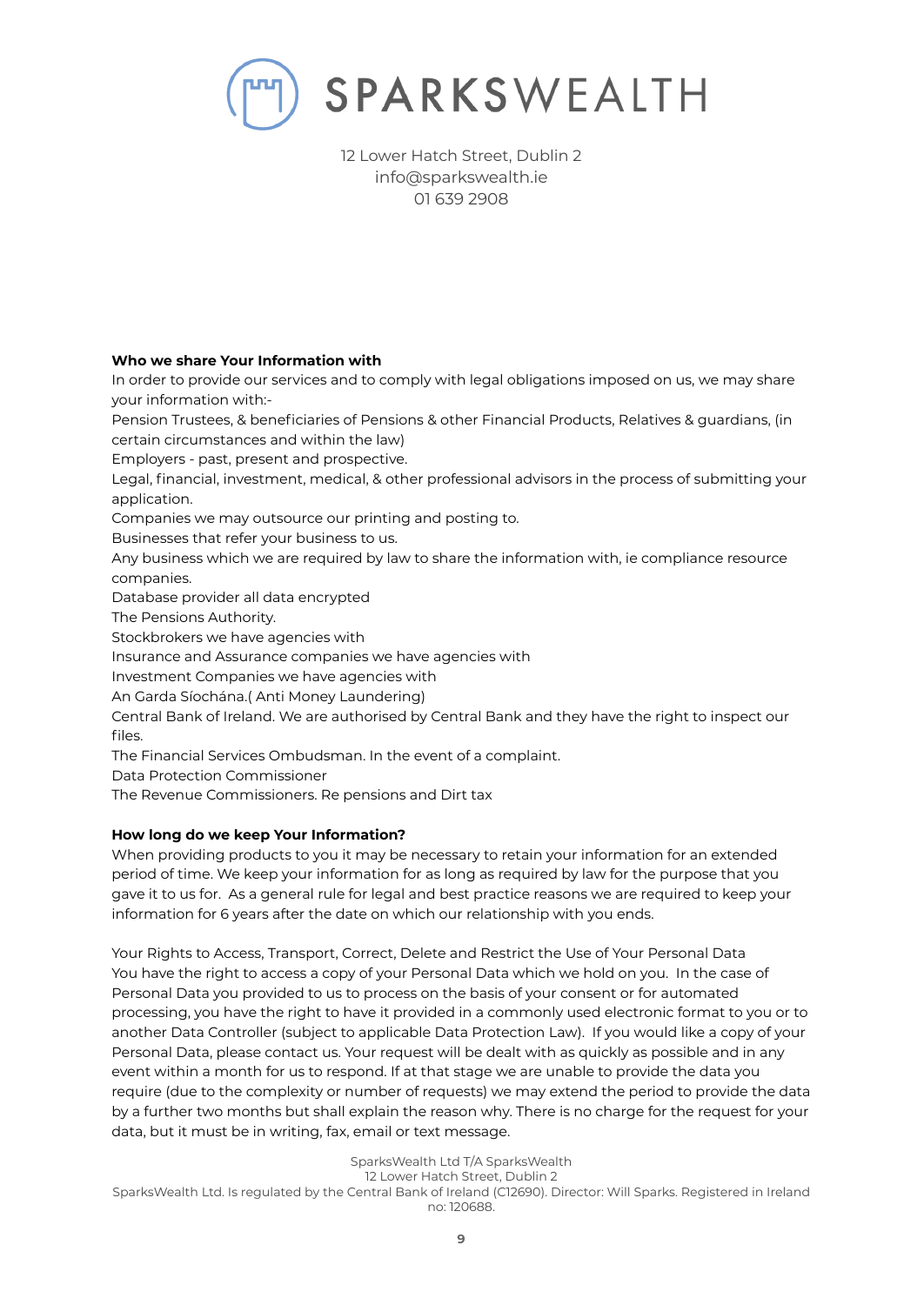

# **Who we share Your Information with**

In order to provide our services and to comply with legal obligations imposed on us, we may share your information with:-

Pension Trustees, & beneficiaries of Pensions & other Financial Products, Relatives & guardians, (in certain circumstances and within the law)

Employers - past, present and prospective.

Legal, financial, investment, medical, & other professional advisors in the process of submitting your application.

Companies we may outsource our printing and posting to.

Businesses that refer your business to us.

Any business which we are required by law to share the information with, ie compliance resource companies.

Database provider all data encrypted

The Pensions Authority.

Stockbrokers we have agencies with

Insurance and Assurance companies we have agencies with

Investment Companies we have agencies with

An Garda Síochána.( Anti Money Laundering)

Central Bank of Ireland. We are authorised by Central Bank and they have the right to inspect our files.

The Financial Services Ombudsman. In the event of a complaint.

Data Protection Commissioner

The Revenue Commissioners. Re pensions and Dirt tax

# **How long do we keep Your Information?**

When providing products to you it may be necessary to retain your information for an extended period of time. We keep your information for as long as required by law for the purpose that you gave it to us for. As a general rule for legal and best practice reasons we are required to keep your information for 6 years after the date on which our relationship with you ends.

Your Rights to Access, Transport, Correct, Delete and Restrict the Use of Your Personal Data You have the right to access a copy of your Personal Data which we hold on you. In the case of Personal Data you provided to us to process on the basis of your consent or for automated processing, you have the right to have it provided in a commonly used electronic format to you or to another Data Controller (subject to applicable Data Protection Law). If you would like a copy of your Personal Data, please contact us. Your request will be dealt with as quickly as possible and in any event within a month for us to respond. If at that stage we are unable to provide the data you require (due to the complexity or number of requests) we may extend the period to provide the data by a further two months but shall explain the reason why. There is no charge for the request for your data, but it must be in writing, fax, email or text message.

SparksWealth Ltd T/A SparksWealth

12 Lower Hatch Street, Dublin 2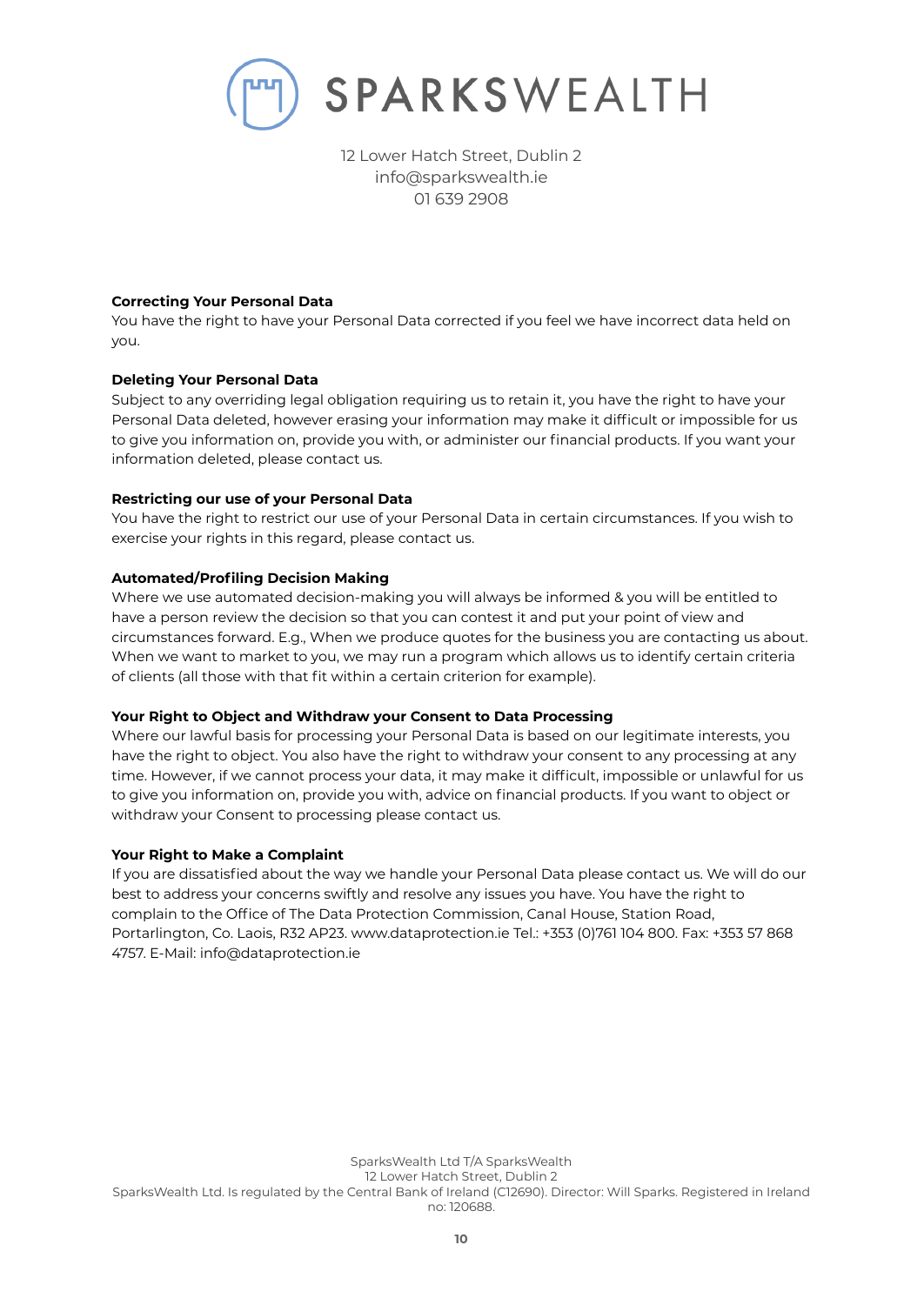

# **Correcting Your Personal Data**

You have the right to have your Personal Data corrected if you feel we have incorrect data held on you.

# **Deleting Your Personal Data**

Subject to any overriding legal obligation requiring us to retain it, you have the right to have your Personal Data deleted, however erasing your information may make it difficult or impossible for us to give you information on, provide you with, or administer our financial products. If you want your information deleted, please contact us.

# **Restricting our use of your Personal Data**

You have the right to restrict our use of your Personal Data in certain circumstances. If you wish to exercise your rights in this regard, please contact us.

# **Automated/Profiling Decision Making**

Where we use automated decision-making you will always be informed & you will be entitled to have a person review the decision so that you can contest it and put your point of view and circumstances forward. E.g., When we produce quotes for the business you are contacting us about. When we want to market to you, we may run a program which allows us to identify certain criteria of clients (all those with that fit within a certain criterion for example).

## **Your Right to Object and Withdraw your Consent to Data Processing**

Where our lawful basis for processing your Personal Data is based on our legitimate interests, you have the right to object. You also have the right to withdraw your consent to any processing at any time. However, if we cannot process your data, it may make it difficult, impossible or unlawful for us to give you information on, provide you with, advice on financial products. If you want to object or withdraw your Consent to processing please contact us.

## **Your Right to Make a Complaint**

If you are dissatisfied about the way we handle your Personal Data please contact us. We will do our best to address your concerns swiftly and resolve any issues you have. You have the right to complain to the Office of The Data Protection Commission, Canal House, Station Road, Portarlington, Co. Laois, R32 AP23. www.dataprotection.ie Tel.: +353 (0)761 104 800. Fax: +353 57 868 4757. E-Mail: info@dataprotection.ie

SparksWealth Ltd T/A SparksWealth 12 Lower Hatch Street, Dublin 2 SparksWealth Ltd. Is regulated by the Central Bank of Ireland (C12690). Director: Will Sparks. Registered in Ireland no: 120688.